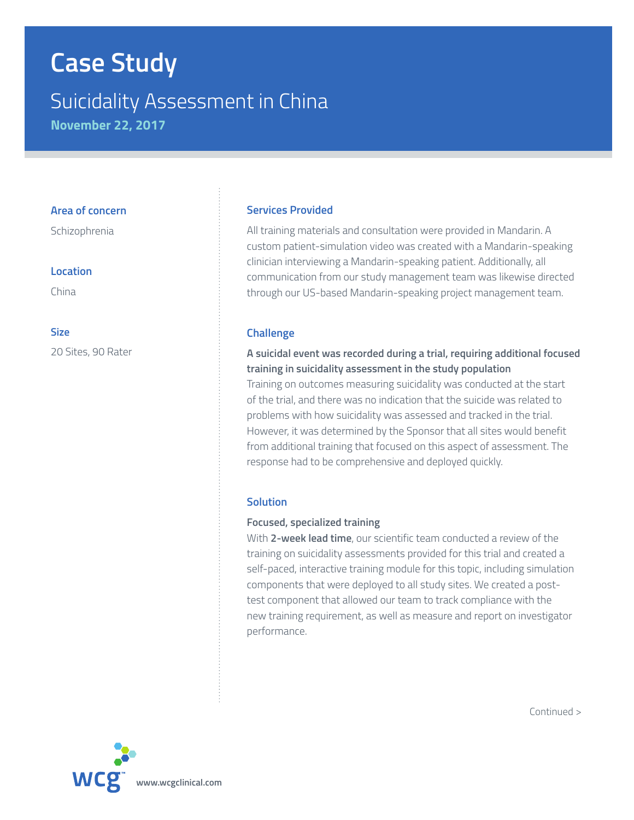# **Case Study**

# Suicidality Assessment in China

**November 22, 2017**

#### **Area of concern**

Schizophrenia

#### **Location**

China

#### **Size**

20 Sites, 90 Rater

## **Services Provided**

All training materials and consultation were provided in Mandarin. A custom patient-simulation video was created with a Mandarin-speaking clinician interviewing a Mandarin-speaking patient. Additionally, all communication from our study management team was likewise directed through our US-based Mandarin-speaking project management team.

#### **Challenge**

## **A suicidal event was recorded during a trial, requiring additional focused training in suicidality assessment in the study population**

Training on outcomes measuring suicidality was conducted at the start of the trial, and there was no indication that the suicide was related to problems with how suicidality was assessed and tracked in the trial. However, it was determined by the Sponsor that all sites would benefit from additional training that focused on this aspect of assessment. The response had to be comprehensive and deployed quickly.

## **Solution**

#### **Focused, specialized training**

With **2-week lead time**, our scientific team conducted a review of the training on suicidality assessments provided for this trial and created a self-paced, interactive training module for this topic, including simulation components that were deployed to all study sites. We created a posttest component that allowed our team to track compliance with the new training requirement, as well as measure and report on investigator performance.



Continued >